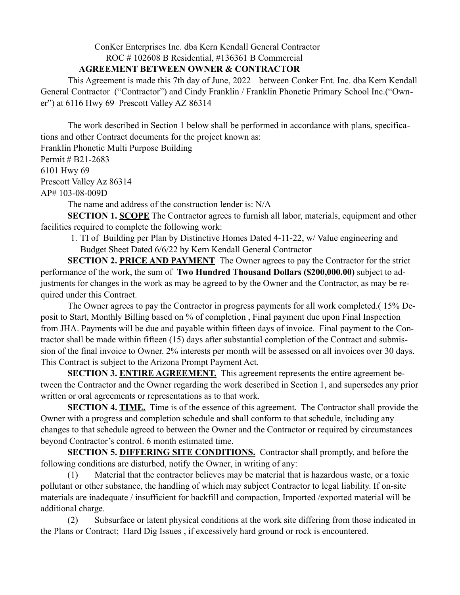ConKer Enterprises Inc. dba Kern Kendall General Contractor

ROC # 102608 B Residential, #136361 B Commercial

## **AGREEMENT BETWEEN OWNER & CONTRACTOR**

 This Agreement is made this 7th day of June, 2022 between Conker Ent. Inc. dba Kern Kendall General Contractor ("Contractor") and Cindy Franklin / Franklin Phonetic Primary School Inc.("Owner") at 6116 Hwy 69 Prescott Valley AZ 86314

 The work described in Section 1 below shall be performed in accordance with plans, specifications and other Contract documents for the project known as:

Franklin Phonetic Multi Purpose Building Permit # B21-2683 6101 Hwy 69

Prescott Valley Az 86314

AP# 103-08-009D

The name and address of the construction lender is: N/A

**SECTION 1. SCOPE** The Contractor agrees to furnish all labor, materials, equipment and other facilities required to complete the following work:

1. TI of Building per Plan by Distinctive Homes Dated 4-11-22, w/ Value engineering and Budget Sheet Dated 6/6/22 by Kern Kendall General Contractor

**SECTION 2. PRICE AND PAYMENT** The Owner agrees to pay the Contractor for the strict performance of the work, the sum of **Two Hundred Thousand Dollars (\$200,000.00)** subject to adjustments for changes in the work as may be agreed to by the Owner and the Contractor, as may be required under this Contract.

 The Owner agrees to pay the Contractor in progress payments for all work completed.( 15% Deposit to Start, Monthly Billing based on % of completion , Final payment due upon Final Inspection from JHA. Payments will be due and payable within fifteen days of invoice. Final payment to the Contractor shall be made within fifteen (15) days after substantial completion of the Contract and submission of the final invoice to Owner. 2% interests per month will be assessed on all invoices over 30 days. This Contract is subject to the Arizona Prompt Payment Act.

**SECTION 3. ENTIRE AGREEMENT.** This agreement represents the entire agreement between the Contractor and the Owner regarding the work described in Section 1, and supersedes any prior written or oral agreements or representations as to that work.

**SECTION 4. TIME.** Time is of the essence of this agreement. The Contractor shall provide the Owner with a progress and completion schedule and shall conform to that schedule, including any changes to that schedule agreed to between the Owner and the Contractor or required by circumstances beyond Contractor's control. 6 month estimated time.

**SECTION 5. DIFFERING SITE CONDITIONS.** Contractor shall promptly, and before the following conditions are disturbed, notify the Owner, in writing of any:

 (1) Material that the contractor believes may be material that is hazardous waste, or a toxic pollutant or other substance, the handling of which may subject Contractor to legal liability. If on-site materials are inadequate / insufficient for backfill and compaction, Imported /exported material will be additional charge.

 (2) Subsurface or latent physical conditions at the work site differing from those indicated in the Plans or Contract; Hard Dig Issues , if excessively hard ground or rock is encountered.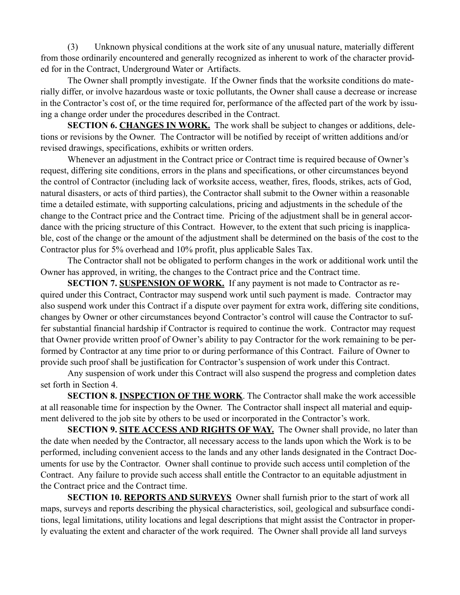(3) Unknown physical conditions at the work site of any unusual nature, materially different from those ordinarily encountered and generally recognized as inherent to work of the character provided for in the Contract, Underground Water or Artifacts.

 The Owner shall promptly investigate. If the Owner finds that the worksite conditions do materially differ, or involve hazardous waste or toxic pollutants, the Owner shall cause a decrease or increase in the Contractor's cost of, or the time required for, performance of the affected part of the work by issuing a change order under the procedures described in the Contract.

**SECTION 6. CHANGES IN WORK.** The work shall be subject to changes or additions, deletions or revisions by the Owner. The Contractor will be notified by receipt of written additions and/or revised drawings, specifications, exhibits or written orders.

 Whenever an adjustment in the Contract price or Contract time is required because of Owner's request, differing site conditions, errors in the plans and specifications, or other circumstances beyond the control of Contractor (including lack of worksite access, weather, fires, floods, strikes, acts of God, natural disasters, or acts of third parties), the Contractor shall submit to the Owner within a reasonable time a detailed estimate, with supporting calculations, pricing and adjustments in the schedule of the change to the Contract price and the Contract time. Pricing of the adjustment shall be in general accordance with the pricing structure of this Contract. However, to the extent that such pricing is inapplicable, cost of the change or the amount of the adjustment shall be determined on the basis of the cost to the Contractor plus for 5% overhead and 10% profit, plus applicable Sales Tax.

 The Contractor shall not be obligated to perform changes in the work or additional work until the Owner has approved, in writing, the changes to the Contract price and the Contract time.

**SECTION 7. SUSPENSION OF WORK.** If any payment is not made to Contractor as required under this Contract, Contractor may suspend work until such payment is made. Contractor may also suspend work under this Contract if a dispute over payment for extra work, differing site conditions, changes by Owner or other circumstances beyond Contractor's control will cause the Contractor to suffer substantial financial hardship if Contractor is required to continue the work. Contractor may request that Owner provide written proof of Owner's ability to pay Contractor for the work remaining to be performed by Contractor at any time prior to or during performance of this Contract. Failure of Owner to provide such proof shall be justification for Contractor's suspension of work under this Contract.

 Any suspension of work under this Contract will also suspend the progress and completion dates set forth in Section 4.

**SECTION 8. INSPECTION OF THE WORK**. The Contractor shall make the work accessible at all reasonable time for inspection by the Owner. The Contractor shall inspect all material and equipment delivered to the job site by others to be used or incorporated in the Contractor's work.

**SECTION 9. SITE ACCESS AND RIGHTS OF WAY.** The Owner shall provide, no later than the date when needed by the Contractor, all necessary access to the lands upon which the Work is to be performed, including convenient access to the lands and any other lands designated in the Contract Documents for use by the Contractor. Owner shall continue to provide such access until completion of the Contract. Any failure to provide such access shall entitle the Contractor to an equitable adjustment in the Contract price and the Contract time.

**SECTION 10. REPORTS AND SURVEYS** Owner shall furnish prior to the start of work all maps, surveys and reports describing the physical characteristics, soil, geological and subsurface conditions, legal limitations, utility locations and legal descriptions that might assist the Contractor in properly evaluating the extent and character of the work required. The Owner shall provide all land surveys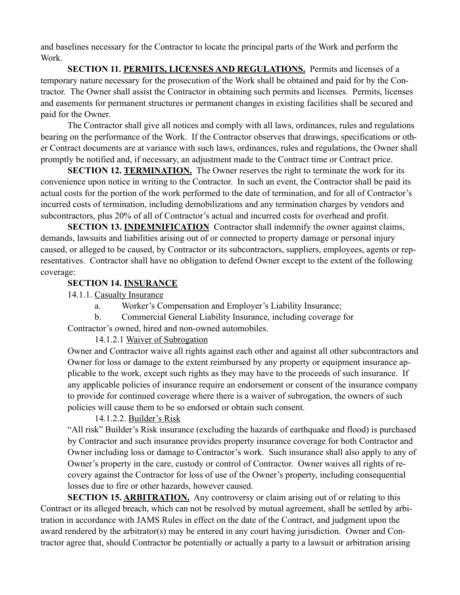and baselines necessary for the Contractor to locate the principal parts of the Work and perform the Work.

**SECTION 11. PERMITS, LICENSES AND REGULATIONS.** Permits and licenses of a temporary nature necessary for the prosecution of the Work shall be obtained and paid for by the Contractor. The Owner shall assist the Contractor in obtaining such permits and licenses. Permits, licenses and easements for permanent structures or permanent changes in existing facilities shall be secured and paid for the Owner.

 The Contractor shall give all notices and comply with all laws, ordinances, rules and regulations bearing on the performance of the Work. If the Contractor observes that drawings, specifications or other Contract documents are at variance with such laws, ordinances, rules and regulations, the Owner shall promptly be notified and, if necessary, an adjustment made to the Contract time or Contract price.

**SECTION 12. TERMINATION.** The Owner reserves the right to terminate the work for its convenience upon notice in writing to the Contractor. In such an event, the Contractor shall be paid its actual costs for the portion of the work performed to the date of termination, and for all of Contractor's incurred costs of termination, including demobilizations and any termination charges by vendors and subcontractors, plus 20% of all of Contractor's actual and incurred costs for overhead and profit.

**SECTION 13. INDEMNIFICATION** Contractor shall indemnify the owner against claims, demands, lawsuits and liabilities arising out of or connected to property damage or personal injury caused, or alleged to be caused, by Contractor or its subcontractors, suppliers, employees, agents or representatives. Contractor shall have no obligation to defend Owner except to the extent of the following coverage:

## **SECTION 14. INSURANCE**

14.1.1. Casualty Insurance

- a. Worker's Compensation and Employer's Liability Insurance;
- b. Commercial General Liability Insurance, including coverage for

Contractor's owned, hired and non-owned automobiles.

## 14.1.2.1 Waiver of Subrogation

Owner and Contractor waive all rights against each other and against all other subcontractors and Owner for loss or damage to the extent reimbursed by any property or equipment insurance applicable to the work, except such rights as they may have to the proceeds of such insurance. If any applicable policies of insurance require an endorsement or consent of the insurance company to provide for continued coverage where there is a waiver of subrogation, the owners of such policies will cause them to be so endorsed or obtain such consent.

## 14.1.2.2. Builder's Risk

"All risk" Builder's Risk insurance (excluding the hazards of earthquake and flood) is purchased by Contractor and such insurance provides property insurance coverage for both Contractor and Owner including loss or damage to Contractor's work. Such insurance shall also apply to any of Owner's property in the care, custody or control of Contractor. Owner waives all rights of recovery against the Contractor for loss of use of the Owner's property, including consequential losses due to fire or other hazards, however caused.

**SECTION 15. ARBITRATION.** Any controversy or claim arising out of or relating to this Contract or its alleged breach, which can not be resolved by mutual agreement, shall be settled by arbitration in accordance with JAMS Rules in effect on the date of the Contract, and judgment upon the award rendered by the arbitrator(s) may be entered in any court having jurisdiction. Owner and Contractor agree that, should Contractor be potentially or actually a party to a lawsuit or arbitration arising